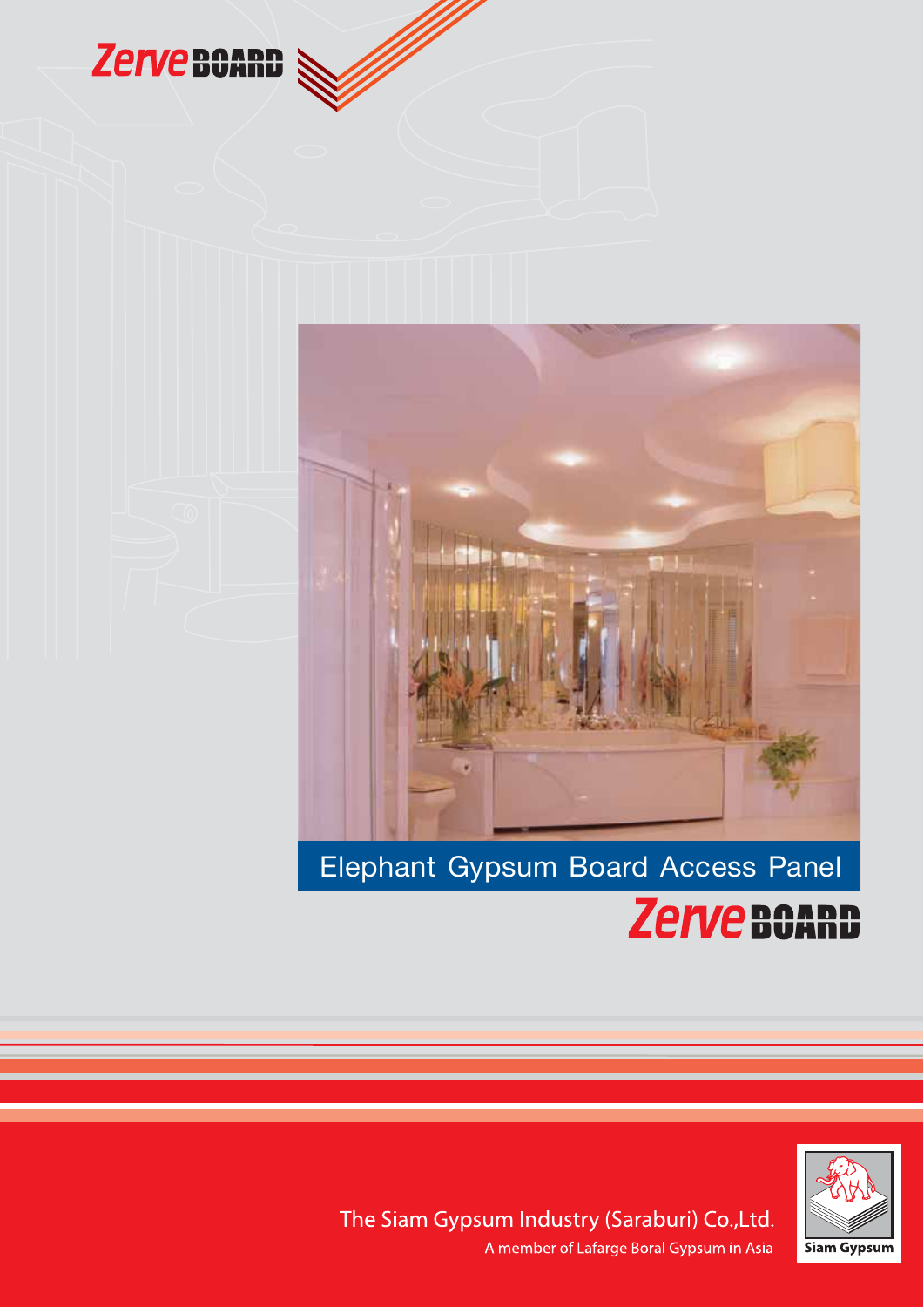

fft 1998 andrewedd yn 1998.<br>Ymleddiadau



# Elephant Gypsum Board Access Panel





The Siam Gypsum Industry (Saraburi) Co.,Ltd. A member of Lafarge Boral Gypsum in Asia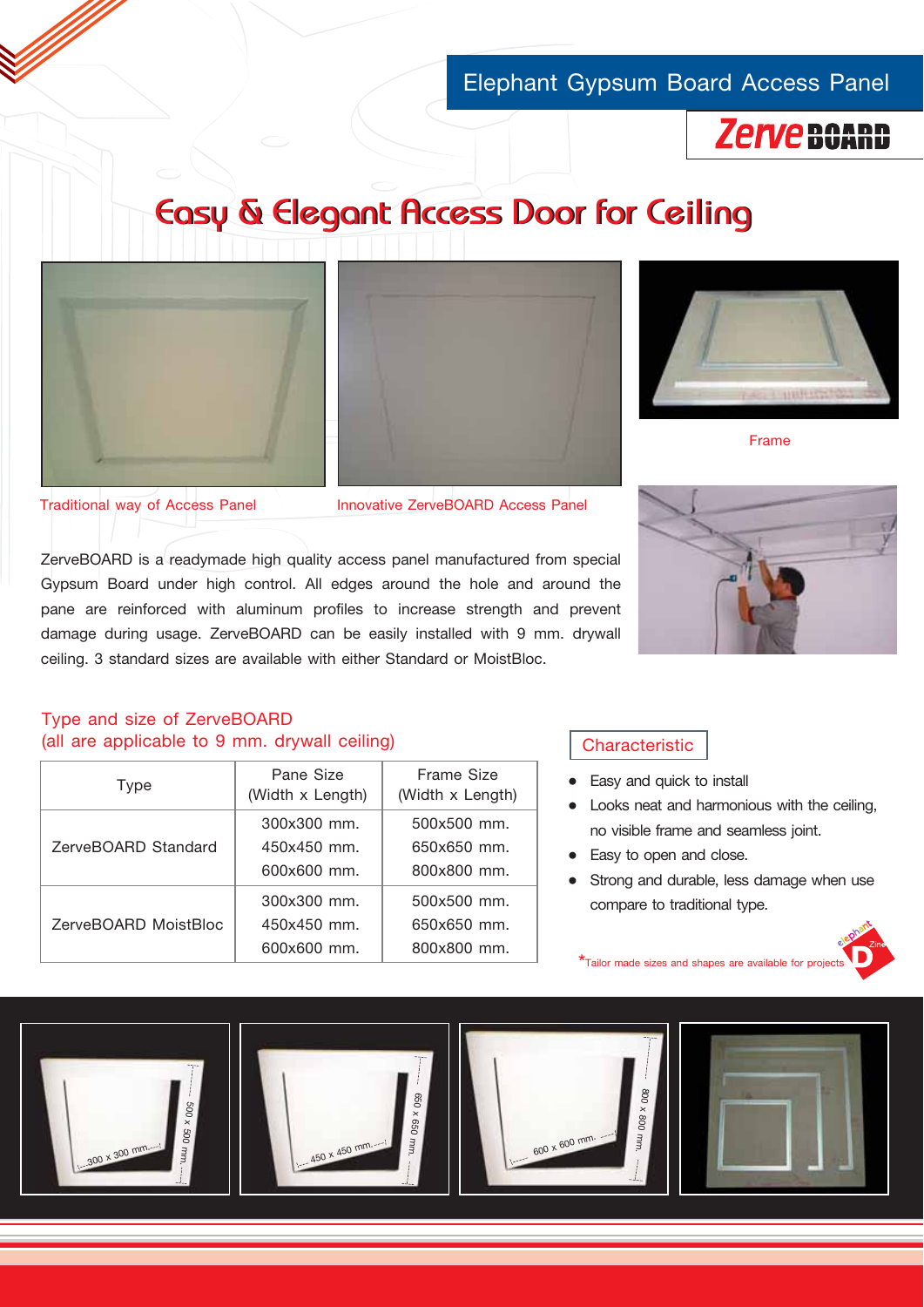## Elephant Gypsum Board Access Panel



# Easy & Elegant Access Door for Ceiling







Frame

Traditional way of Access Panel Innovative ZerveBOARD Access Panel

ZerveBOARD is a readymade high quality access panel manufactured from special Gypsum Board under high control. All edges around the hole and around the pane are reinforced with aluminum profiles to increase strength and prevent damage during usage. ZerveBOARD can be easily installed with 9 mm. drywall ceiling. 3 standard sizes are available with either Standard or MoistBloc.



## Type and size of ZerveBOARD (all are applicable to 9 mm. drywall ceiling)

|  | Type                 | Pane Size<br>(Width x Length) | Frame Size<br>(Width x Length) |
|--|----------------------|-------------------------------|--------------------------------|
|  | ZerveBOARD Standard  | 300x300 mm.                   | 500x500 mm.                    |
|  |                      | $450x450$ mm.                 | $650x650$ mm.                  |
|  |                      | 600x600 mm.                   | 800x800 mm.                    |
|  | ZerveBOARD MoistBloc | 300x300 mm.                   | 500x500 mm.                    |
|  |                      | 450x450 mm.                   | 650x650 mm.                    |
|  |                      | 600x600 mm.                   | 800x800 mm.                    |
|  |                      |                               |                                |

### **Characteristic**

- ë Easy and quick to install
- ë Looks neat and harmonious with the ceiling, no visible frame and seamless joint.
- Easy to open and close.
- Strong and durable, less damage when use compare to traditional type.



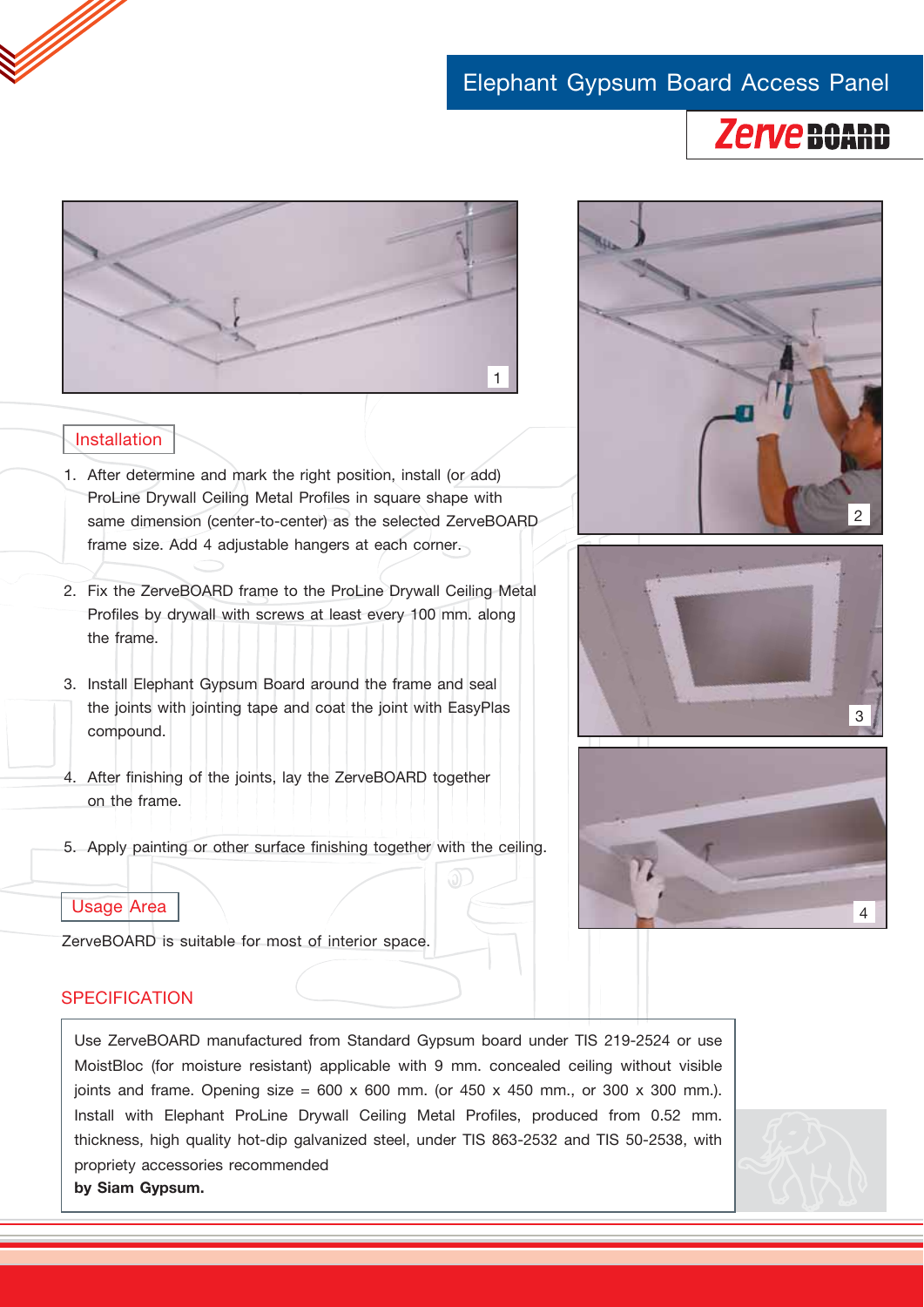## Elephant Gypsum Board Access Panel





## Installation

- 1. After determine and mark the right position, install (or add) ProLine Drywall Ceiling Metal Profiles in square shape with same dimension (center-to-center) as the selected ZerveBOARD frame size. Add 4 adjustable hangers at each corner.
- 2. Fix the ZerveBOARD frame to the ProLine Drywall Ceiling Metal Profiles by drywall with screws at least every 100 mm. along the frame.
- 3. Install Elephant Gypsum Board around the frame and seal the joints with jointing tape and coat the joint with EasyPlas compound.
- 4. After finishing of the joints, lay the ZerveBOARD together on the frame.
- 5. Apply painting or other surface finishing together with the ceiling.



ZerveBOARD is suitable for most of interior space.

## **SPECIFICATION**

Use ZerveBOARD manufactured from Standard Gypsum board under TIS 219-2524 or use MoistBloc (for moisture resistant) applicable with 9 mm. concealed ceiling without visible joints and frame. Opening size =  $600 \times 600$  mm. (or  $450 \times 450$  mm., or  $300 \times 300$  mm.). Install with Elephant ProLine Drywall Ceiling Metal Profiles, produced from 0.52 mm. thickness, high quality hot-dip galvanized steel, under TIS 863-2532 and TIS 50-2538, with propriety accessories recommended **by Siam Gypsum.**